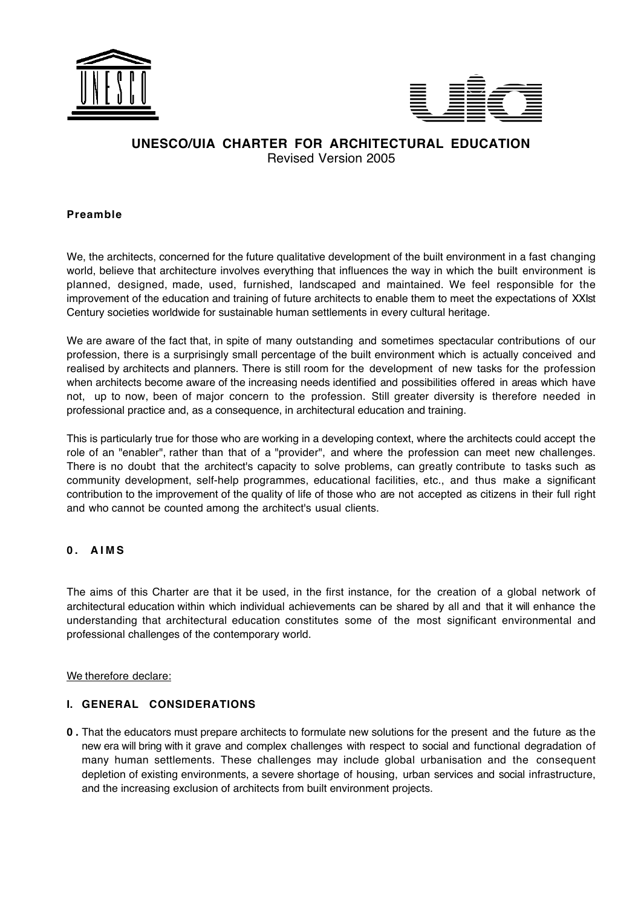



# **UNESCO/UIA CHARTER FOR ARCHITECTURAL EDUCATION** Revised Version 2005

## **Preamble**

We, the architects, concerned for the future qualitative development of the built environment in a fast changing world, believe that architecture involves everything that influences the way in which the built environment is planned, designed, made, used, furnished, landscaped and maintained. We feel responsible for the improvement of the education and training of future architects to enable them to meet the expectations of XXIst Century societies worldwide for sustainable human settlements in every cultural heritage.

We are aware of the fact that, in spite of many outstanding and sometimes spectacular contributions of our profession, there is a surprisingly small percentage of the built environment which is actually conceived and realised by architects and planners. There is still room for the development of new tasks for the profession when architects become aware of the increasing needs identified and possibilities offered in areas which have not, up to now, been of major concern to the profession. Still greater diversity is therefore needed in professional practice and, as a consequence, in architectural education and training.

This is particularly true for those who are working in a developing context, where the architects could accept the role of an "enabler", rather than that of a "provider", and where the profession can meet new challenges. There is no doubt that the architect's capacity to solve problems, can greatly contribute to tasks such as community development, self-help programmes, educational facilities, etc., and thus make a significant contribution to the improvement of the quality of life of those who are not accepted as citizens in their full right and who cannot be counted among the architect's usual clients.

# **0 . AIMS**

The aims of this Charter are that it be used, in the first instance, for the creation of a global network of architectural education within which individual achievements can be shared by all and that it will enhance the understanding that architectural education constitutes some of the most significant environmental and professional challenges of the contemporary world.

We therefore declare:

## **I. GENERAL CONSIDERATIONS**

**0 .** That the educators must prepare architects to formulate new solutions for the present and the future as the new era will bring with it grave and complex challenges with respect to social and functional degradation of many human settlements. These challenges may include global urbanisation and the consequent depletion of existing environments, a severe shortage of housing, urban services and social infrastructure, and the increasing exclusion of architects from built environment projects.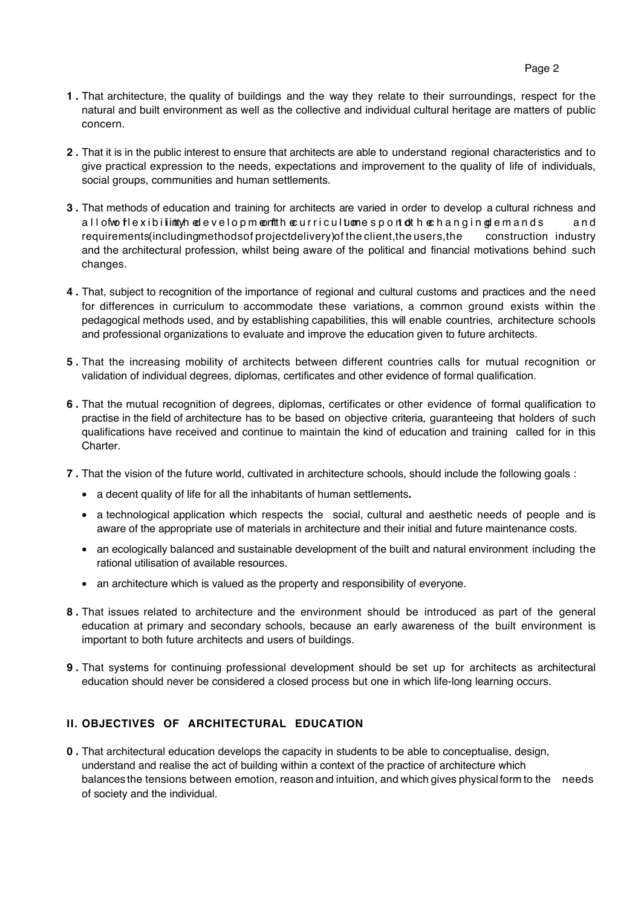- **1 .** That architecture, the quality of buildings and the way they relate to their surroundings, respect for the natural and built environment as well as the collective and individual cultural heritage are matters of public concern.
- **2 .** That it is in the public interest to ensure that architects are able to understand regional characteristics and to give practical expression to the needs, expectations and improvement to the quality of life of individuals, social groups, communities and human settlements.
- **3 .** That methods of education and training for architects are varied in order to develop a cultural richness and allow of flexibilinty hedevelopment the curricultum esponid the changing demands and requirements (including methods of project delivery) of the client, the users, the construction industry and the architectural profession, whilst being aware of the political and financial motivations behind such changes.
- **4 .** That, subject to recognition of the importance of regional and cultural customs and practices and the need for differences in curriculum to accommodate these variations, a common ground exists within the pedagogical methods used, and by establishing capabilities, this will enable countries, architecture schools and professional organizations to evaluate and improve the education given to future architects.
- **5 .** That the increasing mobility of architects between different countries calls for mutual recognition or validation of individual degrees, diplomas, certificates and other evidence of formal qualification.
- **6 .** That the mutual recognition of degrees, diplomas, certificates or other evidence of formal qualification to practise in the field of architecture has to be based on objective criteria, guaranteeing that holders of such qualifications have received and continue to maintain the kind of education and training called for in this Charter.
- **7 .** That the vision of the future world, cultivated in architecture schools, should include the following goals :
	- a decent quality of life for all the inhabitants of human settlements**.**
	- a technological application which respects the social, cultural and aesthetic needs of people and is aware of the appropriate use of materials in architecture and their initial and future maintenance costs.
	- an ecologically balanced and sustainable development of the built and natural environment including the rational utilisation of available resources.
	- an architecture which is valued as the property and responsibility of everyone.
- **8 .** That issues related to architecture and the environment should be introduced as part of the general education at primary and secondary schools, because an early awareness of the built environment is important to both future architects and users of buildings.
- **9.** That systems for continuing professional development should be set up for architects as architectural education should never be considered a closed process but one in which life-long learning occurs.

# **II. OBJECTIVES OF ARCHITECTURAL EDUCATION**

**0 .** That architectural education develops the capacity in students to be able to conceptualise, design, understand and realise the act of building within a context of the practice of architecture which balances the tensions between emotion, reason and intuition, and which gives physical form to the needs of society and the individual.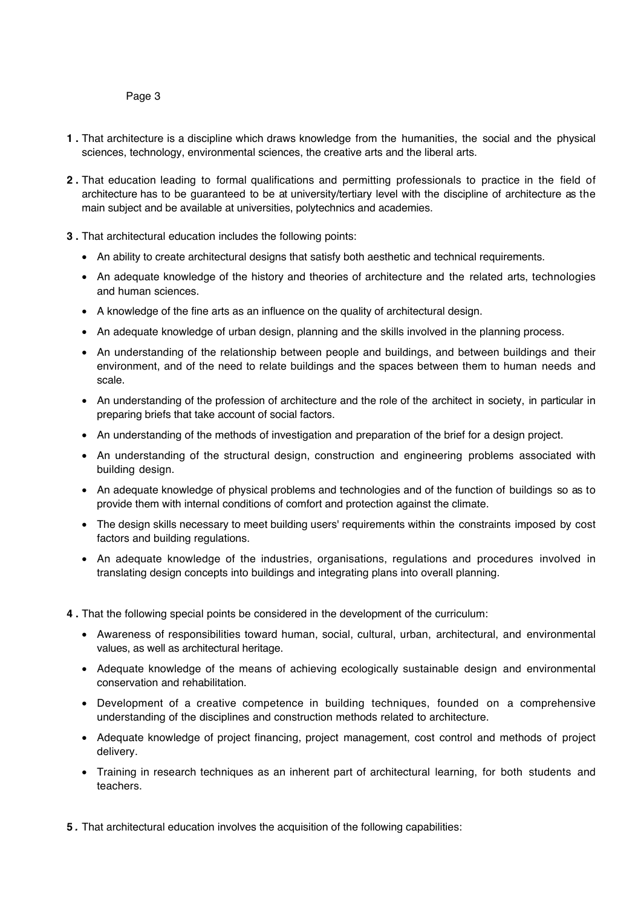### Page 3

- **1 .** That architecture is a discipline which draws knowledge from the humanities, the social and the physical sciences, technology, environmental sciences, the creative arts and the liberal arts.
- **2 .** That education leading to formal qualifications and permitting professionals to practice in the field of architecture has to be guaranteed to be at university/tertiary level with the discipline of architecture as the main subject and be available at universities, polytechnics and academies.
- **3 .** That architectural education includes the following points:
	- An ability to create architectural designs that satisfy both aesthetic and technical requirements.
	- An adequate knowledge of the history and theories of architecture and the related arts, technologies and human sciences.
	- A knowledge of the fine arts as an influence on the quality of architectural design.
	- An adequate knowledge of urban design, planning and the skills involved in the planning process.
	- An understanding of the relationship between people and buildings, and between buildings and their environment, and of the need to relate buildings and the spaces between them to human needs and scale.
	- An understanding of the profession of architecture and the role of the architect in society, in particular in preparing briefs that take account of social factors.
	- An understanding of the methods of investigation and preparation of the brief for a design project.
	- An understanding of the structural design, construction and engineering problems associated with building design.
	- An adequate knowledge of physical problems and technologies and of the function of buildings so as to provide them with internal conditions of comfort and protection against the climate.
	- The design skills necessary to meet building users' requirements within the constraints imposed by cost factors and building regulations.
	- An adequate knowledge of the industries, organisations, regulations and procedures involved in translating design concepts into buildings and integrating plans into overall planning.
- **4 .** That the following special points be considered in the development of the curriculum:
	- Awareness of responsibilities toward human, social, cultural, urban, architectural, and environmental values, as well as architectural heritage.
	- Adequate knowledge of the means of achieving ecologically sustainable design and environmental conservation and rehabilitation.
	- Development of a creative competence in building techniques, founded on a comprehensive understanding of the disciplines and construction methods related to architecture.
	- Adequate knowledge of project financing, project management, cost control and methods of project delivery.
	- Training in research techniques as an inherent part of architectural learning, for both students and teachers.
- **5 .** That architectural education involves the acquisition of the following capabilities: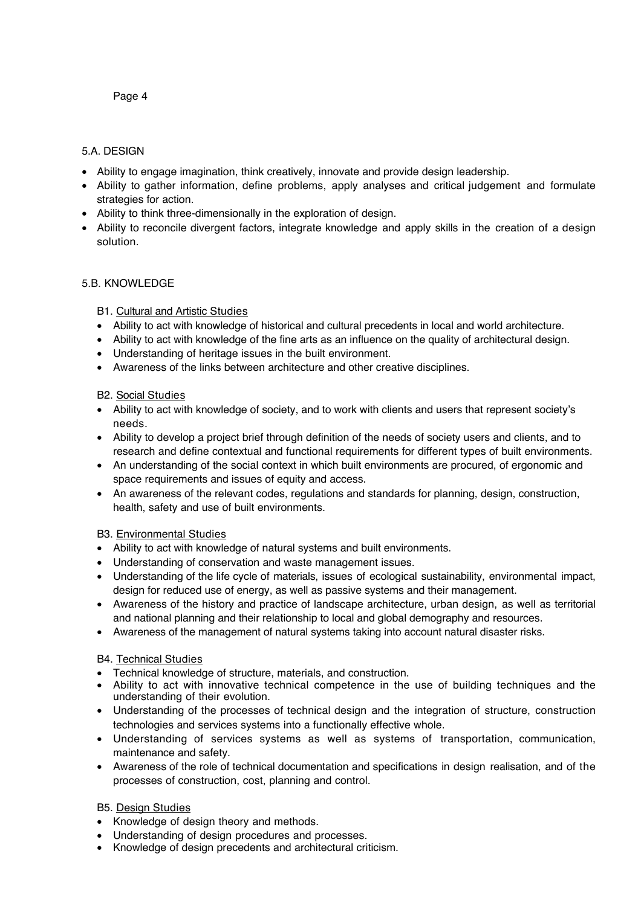### Page 4

## 5.A. DESIGN

- Ability to engage imagination, think creatively, innovate and provide design leadership.
- Ability to gather information, define problems, apply analyses and critical judgement and formulate strategies for action.
- Ability to think three-dimensionally in the exploration of design.
- Ability to reconcile divergent factors, integrate knowledge and apply skills in the creation of a design solution.

### 5.B. KNOWLEDGE

## B1. Cultural and Artistic Studies

- Ability to act with knowledge of historical and cultural precedents in local and world architecture.
- Ability to act with knowledge of the fine arts as an influence on the quality of architectural design.
- Understanding of heritage issues in the built environment.
- Awareness of the links between architecture and other creative disciplines.

### B2. Social Studies

- Ability to act with knowledge of society, and to work with clients and users that represent society's needs.
- Ability to develop a project brief through definition of the needs of society users and clients, and to research and define contextual and functional requirements for different types of built environments.
- An understanding of the social context in which built environments are procured, of ergonomic and space requirements and issues of equity and access.
- An awareness of the relevant codes, regulations and standards for planning, design, construction, health, safety and use of built environments.

### B3. Environmental Studies

- Ability to act with knowledge of natural systems and built environments.
- Understanding of conservation and waste management issues.
- Understanding of the life cycle of materials, issues of ecological sustainability, environmental impact, design for reduced use of energy, as well as passive systems and their management.
- Awareness of the history and practice of landscape architecture, urban design, as well as territorial and national planning and their relationship to local and global demography and resources.
- Awareness of the management of natural systems taking into account natural disaster risks.

### B4. Technical Studies

- Technical knowledge of structure, materials, and construction.
- Ability to act with innovative technical competence in the use of building techniques and the understanding of their evolution.
- Understanding of the processes of technical design and the integration of structure, construction technologies and services systems into a functionally effective whole.
- Understanding of services systems as well as systems of transportation, communication, maintenance and safety.
- Awareness of the role of technical documentation and specifications in design realisation, and of the processes of construction, cost, planning and control.

### B5. Design Studies

- Knowledge of design theory and methods.
- Understanding of design procedures and processes.
- Knowledge of design precedents and architectural criticism.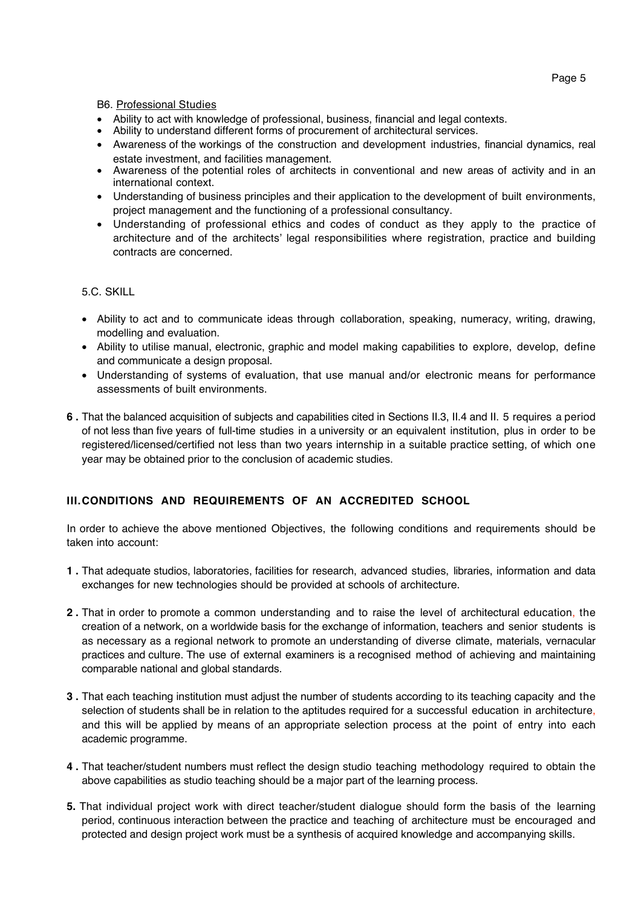### B6. Professional Studies

- Ability to act with knowledge of professional, business, financial and legal contexts.
- Ability to understand different forms of procurement of architectural services.
- Awareness of the workings of the construction and development industries, financial dynamics, real estate investment, and facilities management.
- Awareness of the potential roles of architects in conventional and new areas of activity and in an international context.
- Understanding of business principles and their application to the development of built environments, project management and the functioning of a professional consultancy.
- Understanding of professional ethics and codes of conduct as they apply to the practice of architecture and of the architects' legal responsibilities where registration, practice and building contracts are concerned.

## 5.C. SKILL

- Ability to act and to communicate ideas through collaboration, speaking, numeracy, writing, drawing, modelling and evaluation.
- Ability to utilise manual, electronic, graphic and model making capabilities to explore, develop, define and communicate a design proposal.
- Understanding of systems of evaluation, that use manual and/or electronic means for performance assessments of built environments.
- **6 .** That the balanced acquisition of subjects and capabilities cited in Sections II.3, II.4 and II. 5 requires a period of not less than five years of full-time studies in a university or an equivalent institution, plus in order to be registered/licensed/certified not less than two years internship in a suitable practice setting, of which one year may be obtained prior to the conclusion of academic studies.

# **III.CONDITIONS AND REQUIREMENTS OF AN ACCREDITED SCHOOL**

In order to achieve the above mentioned Objectives, the following conditions and requirements should be taken into account:

- **1 .** That adequate studios, laboratories, facilities for research, advanced studies, libraries, information and data exchanges for new technologies should be provided at schools of architecture.
- **2 .** That in order to promote a common understanding and to raise the level of architectural education, the creation of a network, on a worldwide basis for the exchange of information, teachers and senior students is as necessary as a regional network to promote an understanding of diverse climate, materials, vernacular practices and culture. The use of external examiners is a recognised method of achieving and maintaining comparable national and global standards.
- **3 .** That each teaching institution must adjust the number of students according to its teaching capacity and the selection of students shall be in relation to the aptitudes required for a successful education in architecture, and this will be applied by means of an appropriate selection process at the point of entry into each academic programme.
- **4 .** That teacher/student numbers must reflect the design studio teaching methodology required to obtain the above capabilities as studio teaching should be a major part of the learning process.
- **5.** That individual project work with direct teacher/student dialogue should form the basis of the learning period, continuous interaction between the practice and teaching of architecture must be encouraged and protected and design project work must be a synthesis of acquired knowledge and accompanying skills.